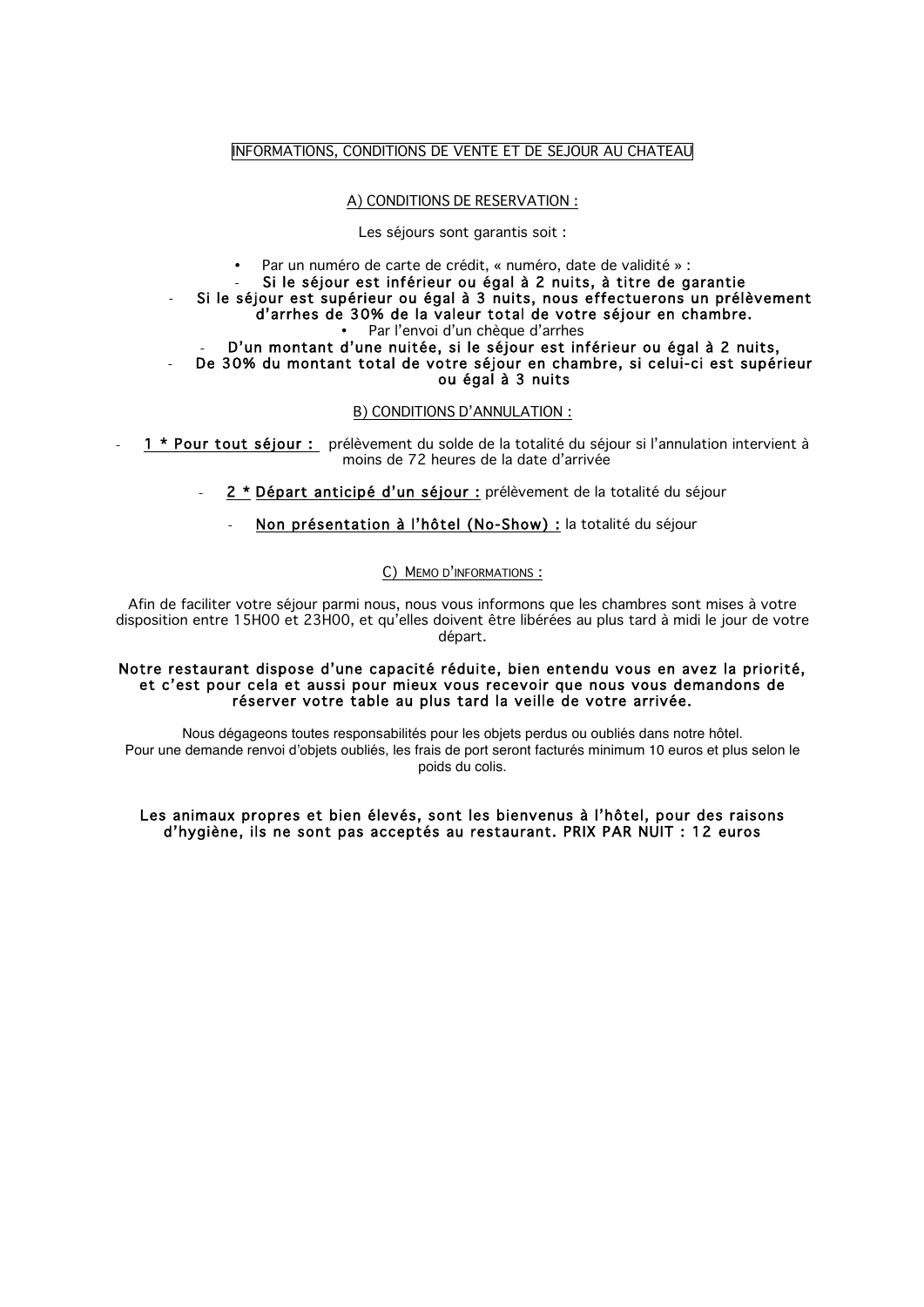## INFORMATIONS, CONDITIONS DE VENTE ET DE SEJOUR AU CHATEAU

## A) CONDITIONS DE RESERVATION :

Les séjours sont garantis soit :

• Par un numéro de carte de crédit, « numéro, date de validité » : Si le séjour est inférieur ou égal à 2 nuits, à titre de garantie Si le séjour est supérieur ou égal à 3 nuits, nous effectuerons un prélèvement d'arrhes de 30% de la valeur total de votre séjour en chambre. Par l'envoi d'un chèque d'arrhes D'un montant d'une nuitée, si le séjour est inférieur ou égal à 2 nuits,

De 30% du montant total de votre séjour en chambre, si celui-ci est supérieur ou égal à 3 nuits

### B) CONDITIONS D'ANNULATION :

1 \* Pour tout séjour : prélèvement du solde de la totalité du séjour si l'annulation intervient à moins de 72 heures de la date d'arrivée

- 2 \* Départ anticipé d'un séjour : prélèvement de la totalité du séjour
	- Non présentation à l'hôtel (No-Show) : la totalité du séjour

## C) MEMO D'INFORMATIONS :

Afin de faciliter votre séjour parmi nous, nous vous informons que les chambres sont mises à votre disposition entre 15H00 et 23H00, et qu'elles doivent être libérées au plus tard à midi le jour de votre départ.

### Notre restaurant dispose d'une capacité réduite, bien entendu vous en avez la priorité, et c'est pour cela et aussi pour mieux vous recevoir que nous vous demandons de réserver votre table au plus tard la veille de votre arrivée.

Nous dégageons toutes responsabilités pour les objets perdus ou oubliés dans notre hôtel. Pour une demande renvoi d'objets oubliés, les frais de port seront facturés minimum 10 euros et plus selon le poids du colis.

## Les animaux propres et bien élevés, sont les bienvenus à l'hôtel, pour des raisons d'hygiène, ils ne sont pas acceptés au restaurant. PRIX PAR NUIT : 12 euros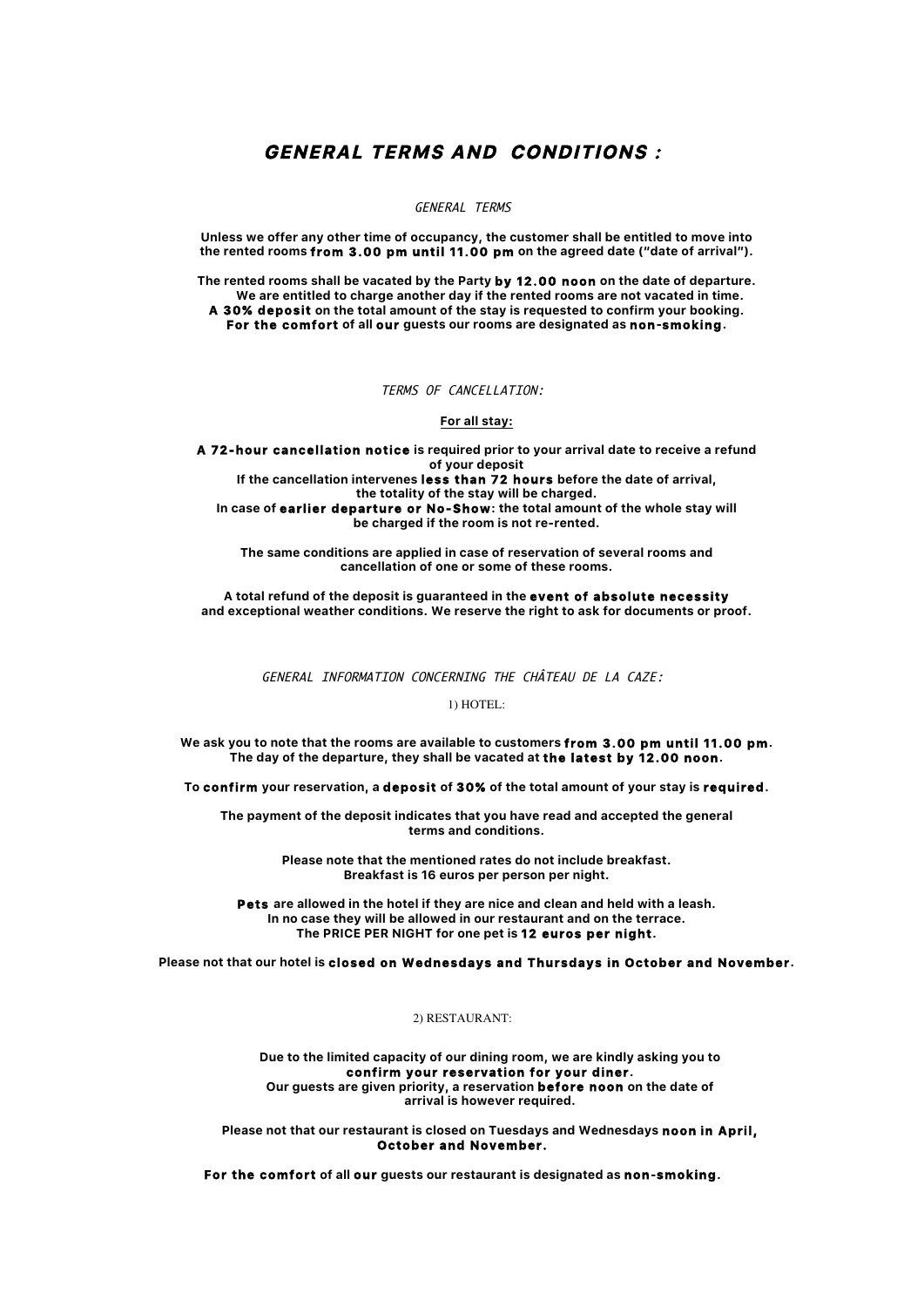# **GENERAL TERMS AND CONDITIONS :**

GENERAL TERMS

**Unless we offer any other time of occupancy, the customer shall be entitled to move into the rented rooms from 3.00 pm until 11.00 pm on the agreed date ("date of arrival").**

**The rented rooms shall be vacated by the Party by 12.00 noon on the date of departure. We are entitled to charge another day if the rented rooms are not vacated in time. A 30% deposit on the total amount of the stay is requested to confirm your booking. For the comfort of all our guests our rooms are designated as non-smoking.**

TERMS OF CANCELLATION:

**For all stay:**

**A 72-hour cancellation notice is required prior to your arrival date to receive a refund of your deposit If the cancellation intervenes less than 72 hours before the date of arrival,**

**the totality of the stay will be charged.**

**In case of earlier departure or No-Show: the total amount of the whole stay will be charged if the room is not re-rented.**

**The same conditions are applied in case of reservation of several rooms and cancellation of one or some of these rooms.**

**A total refund of the deposit is guaranteed in the event of absolute necessity and exceptional weather conditions. We reserve the right to ask for documents or proof.**

GENERAL INFORMATION CONCERNING THE CHÂTEAU DE LA CAZE:

1) HOTEL:

**We ask you to note that the rooms are available to customers from 3.00 pm until 11.00 pm. The day of the departure, they shall be vacated at the latest by 12.00 noon.**

**To confirm your reservation, a deposit of 30% of the total amount of your stay is required.**

**The payment of the deposit indicates that you have read and accepted the general terms and conditions.**

> **Please note that the mentioned rates do not include breakfast. Breakfast is 16 euros per person per night.**

**Pets are allowed in the hotel if they are nice and clean and held with a leash. In no case they will be allowed in our restaurant and on the terrace. The PRICE PER NIGHT for one pet is 12 euros per night.**

**Please not that our hotel is closed on Wednesdays and Thursdays in October and November.**

2) RESTAURANT:

**Due to the limited capacity of our dining room, we are kindly asking you to confirm your reservation for your diner. Our guests are given priority, a reservation before noon on the date of arrival is however required.**

**Please not that our restaurant is closed on Tuesdays and Wednesdays noon in April, October and November.** 

**For the comfort of all our guests our restaurant is designated as non-smoking.**